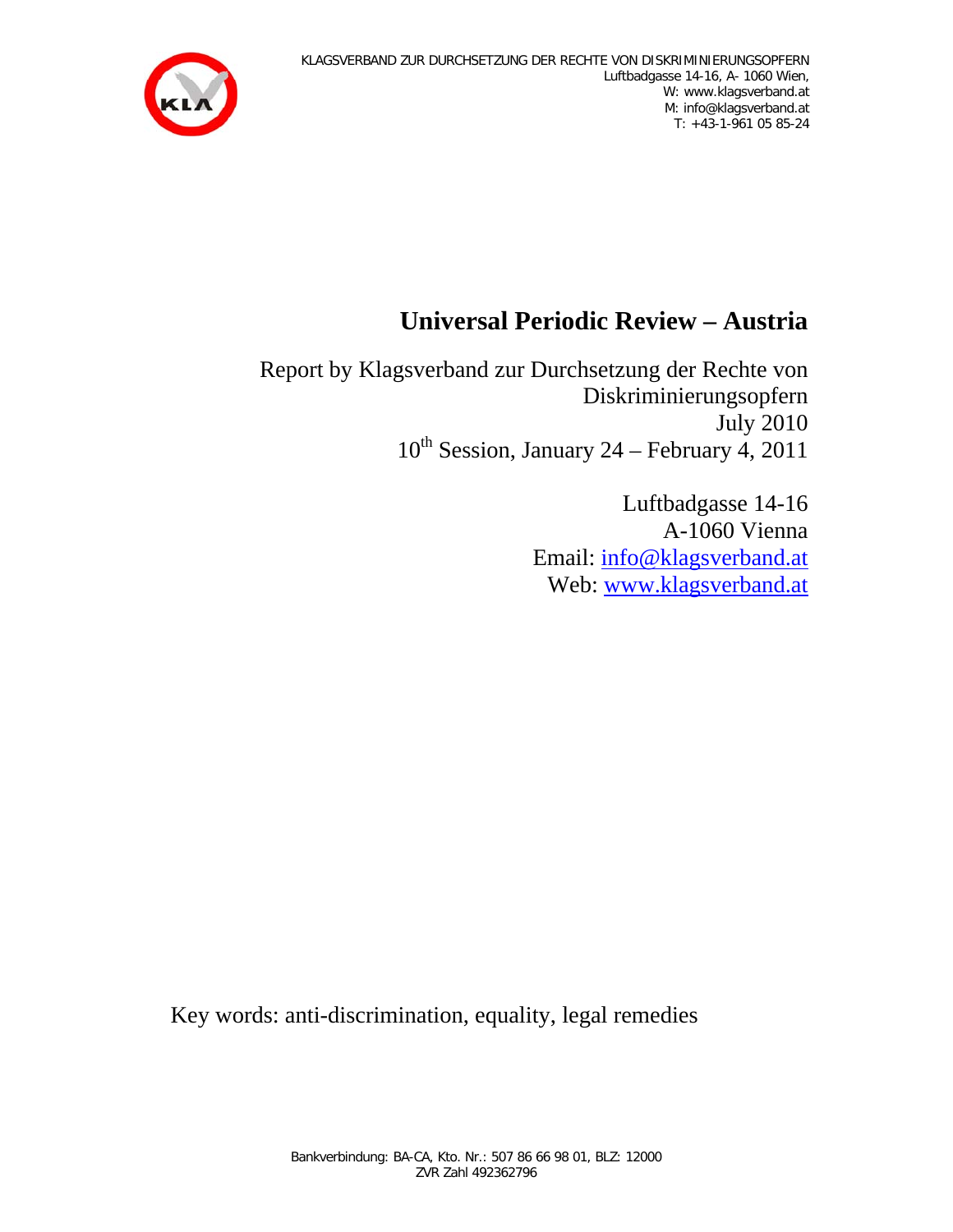

## **Universal Periodic Review – Austria**

Report by Klagsverband zur Durchsetzung der Rechte von Diskriminierungsopfern July 2010  $10^{th}$  Session, January 24 – February 4, 2011

> Luftbadgasse 14-16 A-1060 Vienna Email: info@klagsverband.at Web: www.klagsverband.at

Key words: anti-discrimination, equality, legal remedies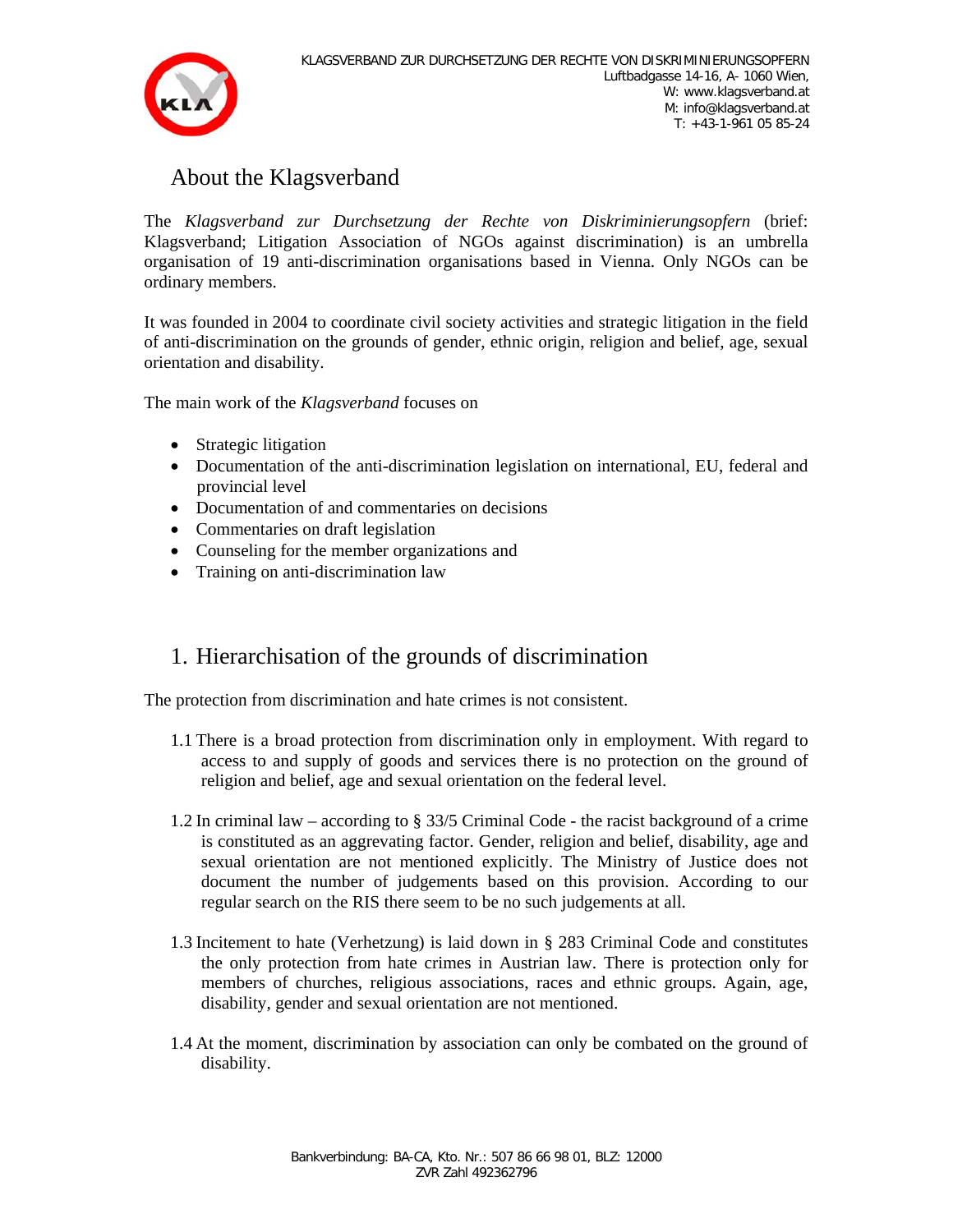

## About the Klagsverband

The *Klagsverband zur Durchsetzung der Rechte von Diskriminierungsopfern* (brief: Klagsverband; Litigation Association of NGOs against discrimination) is an umbrella organisation of 19 anti-discrimination organisations based in Vienna. Only NGOs can be ordinary members.

It was founded in 2004 to coordinate civil society activities and strategic litigation in the field of anti-discrimination on the grounds of gender, ethnic origin, religion and belief, age, sexual orientation and disability.

The main work of the *Klagsverband* focuses on

- Strategic litigation
- Documentation of the anti-discrimination legislation on international, EU, federal and provincial level
- Documentation of and commentaries on decisions
- Commentaries on draft legislation
- Counseling for the member organizations and
- Training on anti-discrimination law

## 1. Hierarchisation of the grounds of discrimination

The protection from discrimination and hate crimes is not consistent.

- 1.1 There is a broad protection from discrimination only in employment. With regard to access to and supply of goods and services there is no protection on the ground of religion and belief, age and sexual orientation on the federal level.
- 1.2 In criminal law according to § 33/5 Criminal Code the racist background of a crime is constituted as an aggrevating factor. Gender, religion and belief, disability, age and sexual orientation are not mentioned explicitly. The Ministry of Justice does not document the number of judgements based on this provision. According to our regular search on the RIS there seem to be no such judgements at all.
- 1.3 Incitement to hate (Verhetzung) is laid down in § 283 Criminal Code and constitutes the only protection from hate crimes in Austrian law. There is protection only for members of churches, religious associations, races and ethnic groups. Again, age, disability, gender and sexual orientation are not mentioned.
- 1.4 At the moment, discrimination by association can only be combated on the ground of disability.